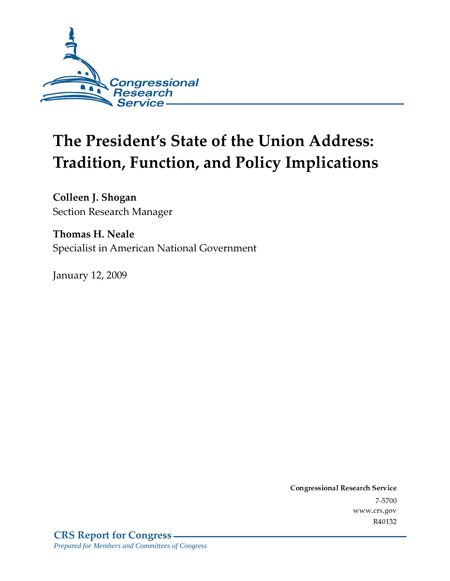

# The President's State of the Union Address: **Tradition, Function, and Policy Implications**

Colleen J. Shogan Section Research Manager

**Thomas H. Neale** Specialist in American National Government

**January 12, 2009** 

Conglessional Research Service  $7 - 2700$ www.crs.gov R40132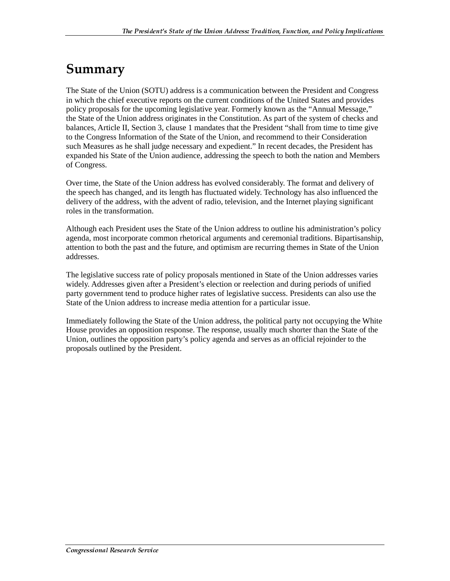## Summary

The State of the Union (SOTU) address is a communication between the President and Congress in which the chief executive reports on the current conditions of the United States and provides policy proposals for the upcoming legislative year. Formerly known as the "Annual Message," the State of the Union address originates in the Constitution. As part of the system of checks and balances, Article II, Section 3, clause 1 mandates that the President "shall from time to time give to the Congress Information of the State of the Union, and recommend to their Consideration such Measures as he shall judge necessary and expedient." In recent decades, the President has expanded his State of the Union audience, addressing the speech to both the nation and Members of Congress.

Over time, the State of the Union address has evolved considerably. The format and delivery of the speech has changed, and its length has fluctuated widely. Technology has also influenced the delivery of the address, with the advent of radio, television, and the Internet playing significant roles in the transformation.

Although each President uses the State of the Union address to outline his administration's policy agenda, most incorporate common rhetorical arguments and ceremonial traditions. Bipartisanship, attention to both the past and the future, and optimism are recurring themes in State of the Union addresses.

The legislative success rate of policy proposals mentioned in State of the Union addresses varies widely. Addresses given after a President's election or reelection and during periods of unified party government tend to produce higher rates of legislative success. Presidents can also use the State of the Union address to increase media attention for a particular issue.

Immediately following the State of the Union address, the political party not occupying the White House provides an opposition response. The response, usually much shorter than the State of the Union, outlines the opposition party's policy agenda and serves as an official rejoinder to the proposals outlined by the President.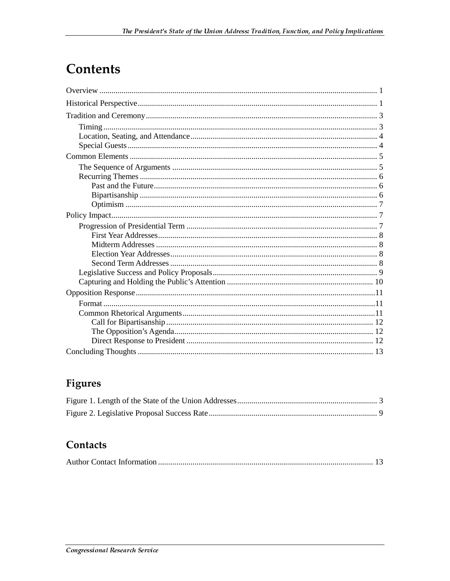## **Contents**

## **Figures**

### Contacts

|--|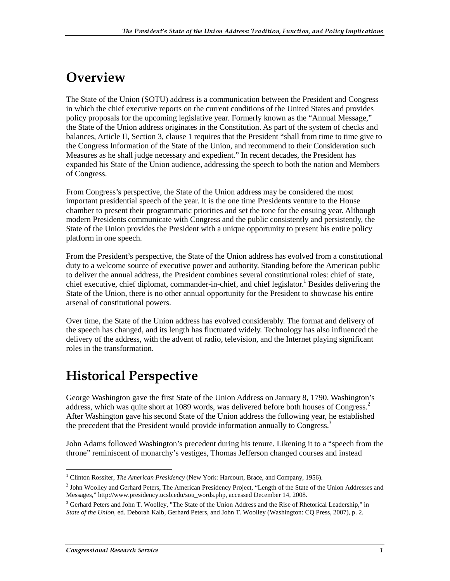## Overview

The State of the Union (SOTU) address is a communication between the President and Congress in which the chief executive reports on the current conditions of the United States and provides policy proposals for the upcoming legislative year. Formerly known as the "Annual Message," the State of the Union address originates in the Constitution. As part of the system of checks and balances, Article II, Section 3, clause 1 requires that the President "shall from time to time give to the Congress Information of the State of the Union, and recommend to their Consideration such Measures as he shall judge necessary and expedient." In recent decades, the President has expanded his State of the Union audience, addressing the speech to both the nation and Members of Congress.

From Congress's perspective, the State of the Union address may be considered the most important presidential speech of the year. It is the one time Presidents venture to the House chamber to present their programmatic priorities and set the tone for the ensuing year. Although modern Presidents communicate with Congress and the public consistently and persistently, the State of the Union provides the President with a unique opportunity to present his entire policy platform in one speech.

From the President's perspective, the State of the Union address has evolved from a constitutional duty to a welcome source of executive power and authority. Standing before the American public to deliver the annual address, the President combines several constitutional roles: chief of state, chief executive, chief diplomat, commander-in-chief, and chief legislator.<sup>1</sup> Besides delivering the State of the Union, there is no other annual opportunity for the President to showcase his entire arsenal of constitutional powers.

Over time, the State of the Union address has evolved considerably. The format and delivery of the speech has changed, and its length has fluctuated widely. Technology has also influenced the delivery of the address, with the advent of radio, television, and the Internet playing significant roles in the transformation.

## **Historical Perspective**

George Washington gave the first State of the Union Address on January 8, 1790. Washington's address, which was quite short at 1089 words, was delivered before both houses of Congress.<sup>2</sup> After Washington gave his second State of the Union address the following year, he established the precedent that the President would provide information annually to Congress.<sup>3</sup>

John Adams followed Washington's precedent during his tenure. Likening it to a "speech from the throne" reminiscent of monarchy's vestiges, Thomas Jefferson changed courses and instead

 $\overline{a}$ <sup>1</sup> Clinton Rossiter, *The American Presidency* (New York: Harcourt, Brace, and Company, 1956).

<sup>&</sup>lt;sup>2</sup> John Woolley and Gerhard Peters, The American Presidency Project, "Length of the State of the Union Addresses and Messages," http://www.presidency.ucsb.edu/sou\_words.php, accessed December 14, 2008.

<sup>&</sup>lt;sup>3</sup> Gerhard Peters and John T. Woolley, "The State of the Union Address and the Rise of Rhetorical Leadership," in *State of the Union*, ed. Deborah Kalb, Gerhard Peters, and John T. Woolley (Washington: CQ Press, 2007), p. 2.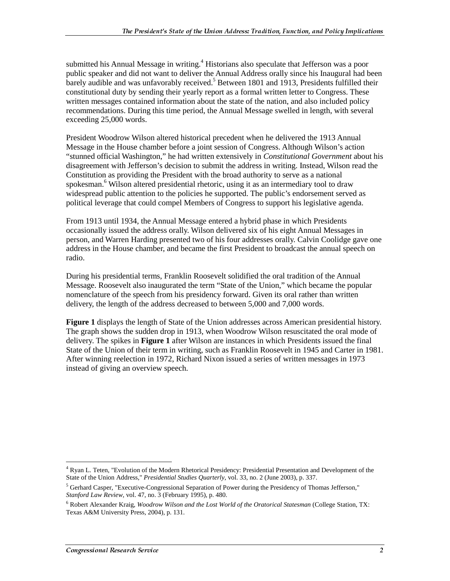submitted his Annual Message in writing.<sup>4</sup> Historians also speculate that Jefferson was a poor public speaker and did not want to deliver the Annual Address orally since his Inaugural had been barely audible and was unfavorably received.<sup>5</sup> Between 1801 and 1913, Presidents fulfilled their constitutional duty by sending their yearly report as a formal written letter to Congress. These written messages contained information about the state of the nation, and also included policy recommendations. During this time period, the Annual Message swelled in length, with several exceeding 25,000 words.

President Woodrow Wilson altered historical precedent when he delivered the 1913 Annual Message in the House chamber before a joint session of Congress. Although Wilson's action "stunned official Washington," he had written extensively in *Constitutional Government* about his disagreement with Jefferson's decision to submit the address in writing. Instead, Wilson read the Constitution as providing the President with the broad authority to serve as a national spokesman.<sup>6</sup> Wilson altered presidential rhetoric, using it as an intermediary tool to draw widespread public attention to the policies he supported. The public's endorsement served as political leverage that could compel Members of Congress to support his legislative agenda.

From 1913 until 1934, the Annual Message entered a hybrid phase in which Presidents occasionally issued the address orally. Wilson delivered six of his eight Annual Messages in person, and Warren Harding presented two of his four addresses orally. Calvin Coolidge gave one address in the House chamber, and became the first President to broadcast the annual speech on radio.

During his presidential terms, Franklin Roosevelt solidified the oral tradition of the Annual Message. Roosevelt also inaugurated the term "State of the Union," which became the popular nomenclature of the speech from his presidency forward. Given its oral rather than written delivery, the length of the address decreased to between 5,000 and 7,000 words.

**Figure 1** displays the length of State of the Union addresses across American presidential history. The graph shows the sudden drop in 1913, when Woodrow Wilson resuscitated the oral mode of delivery. The spikes in **Figure 1** after Wilson are instances in which Presidents issued the final State of the Union of their term in writing, such as Franklin Roosevelt in 1945 and Carter in 1981. After winning reelection in 1972, Richard Nixon issued a series of written messages in 1973 instead of giving an overview speech.

 $\overline{a}$ <sup>4</sup> Ryan L. Teten, "Evolution of the Modern Rhetorical Presidency: Presidential Presentation and Development of the State of the Union Address," *Presidential Studies Quarterly*, vol. 33, no. 2 (June 2003), p. 337.

<sup>&</sup>lt;sup>5</sup> Gerhard Casper, "Executive-Congressional Separation of Power during the Presidency of Thomas Jefferson," *Stanford Law Review*, vol. 47, no. 3 (February 1995), p. 480.

<sup>6</sup> Robert Alexander Kraig, *Woodrow Wilson and the Lost World of the Oratorical Statesman* (College Station, TX: Texas A&M University Press, 2004), p. 131.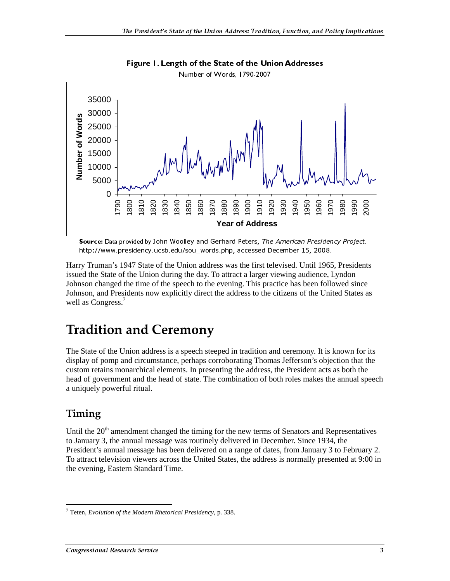

Figure 1. Length of the State of the Union Addresses

http://www.presidency.ucsb.edu/sou\_words.php, accessed December 15, 2008.

Harry Truman's 1947 State of the Union address was the first televised. Until 1965, Presidents issued the State of the Union during the day. To attract a larger viewing audience, Lyndon Johnson changed the time of the speech to the evening. This practice has been followed since Johnson, and Presidents now explicitly direct the address to the citizens of the United States as well as Congress.<sup>7</sup>

## **Tradition and Ceremony**

**Source: Lata provide or source or source** who contain cucts, *inc.* American ricanos, the Hitler, *//www.presidency.ucsb.edu/sou\_words.php,* accessed December 15, 2008.<br>The Mither, *//www.presidency.ucsb.edu/sou\_words.php* The State of the Union address is a speech steeped in tradition and ceremony. It is known for its display of pomp and circumstance, perhaps corroborating Thomas Jefferson's objection that the custom retains monarchical elements. In presenting the address, the President acts as both the head of government and the head of state. The combination of both roles makes the annual speech a uniquely powerful ritual.

### Timing

Until the  $20<sup>th</sup>$  amendment changed the timing for the new terms of Senators and Representatives to January 3, the annual message was routinely delivered in December. Since 1934, the President's annual message has been delivered on a range of dates, from January 3 to February 2. To attract television viewers across the United States, the address is normally presented at 9:00 in the evening, Eastern Standard Time.

 $\overline{a}$ 7 Teten, *Evolution of the Modern Rhetorical Presidency*, p. 338.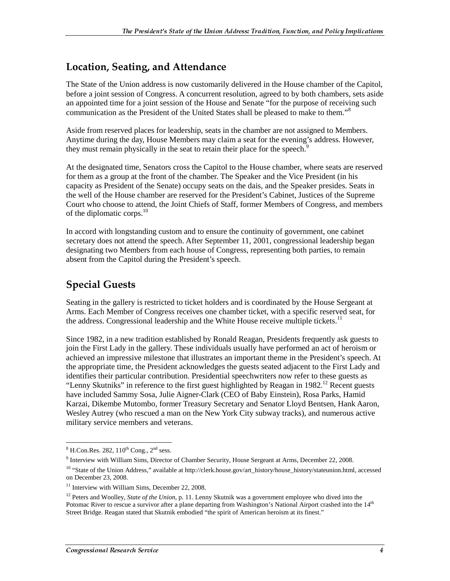### Location, Seating, and Attendance

The State of the Union address is now customarily delivered in the House chamber of the Capitol, before a joint session of Congress. A concurrent resolution, agreed to by both chambers, sets aside an appointed time for a joint session of the House and Senate "for the purpose of receiving such communication as the President of the United States shall be pleased to make to them."<sup>8</sup>

Aside from reserved places for leadership, seats in the chamber are not assigned to Members. Anytime during the day, House Members may claim a seat for the evening's address. However, they must remain physically in the seat to retain their place for the speech.<sup>9</sup>

At the designated time, Senators cross the Capitol to the House chamber, where seats are reserved for them as a group at the front of the chamber. The Speaker and the Vice President (in his capacity as President of the Senate) occupy seats on the dais, and the Speaker presides. Seats in the well of the House chamber are reserved for the President's Cabinet, Justices of the Supreme Court who choose to attend, the Joint Chiefs of Staff, former Members of Congress, and members of the diplomatic corps.<sup>10</sup>

In accord with longstanding custom and to ensure the continuity of government, one cabinet secretary does not attend the speech. After September 11, 2001, congressional leadership began designating two Members from each house of Congress, representing both parties, to remain absent from the Capitol during the President's speech.

## **Special Guests**

Seating in the gallery is restricted to ticket holders and is coordinated by the House Sergeant at Arms. Each Member of Congress receives one chamber ticket, with a specific reserved seat, for the address. Congressional leadership and the White House receive multiple tickets.<sup>11</sup>

Since 1982, in a new tradition established by Ronald Reagan, Presidents frequently ask guests to join the First Lady in the gallery. These individuals usually have performed an act of heroism or achieved an impressive milestone that illustrates an important theme in the President's speech. At the appropriate time, the President acknowledges the guests seated adjacent to the First Lady and identifies their particular contribution. Presidential speechwriters now refer to these guests as "Lenny Skutniks" in reference to the first guest highlighted by Reagan in 1982.<sup>12</sup> Recent guests have included Sammy Sosa, Julie Aigner-Clark (CEO of Baby Einstein), Rosa Parks, Hamid Karzai, Dikembe Mutombo, former Treasury Secretary and Senator Lloyd Bentsen, Hank Aaron, Wesley Autrey (who rescued a man on the New York City subway tracks), and numerous active military service members and veterans.

 $^8$  H.Con.Res. 282, 110<sup>th</sup> Cong., 2<sup>nd</sup> sess.

<sup>9</sup> Interview with William Sims, Director of Chamber Security, House Sergeant at Arms, December 22, 2008.

<sup>&</sup>lt;sup>10</sup> "State of the Union Address," available at http://clerk.house.gov/art\_history/house\_history/stateunion.html, accessed on December 23, 2008.

<sup>&</sup>lt;sup>11</sup> Interview with William Sims, December 22, 2008.

<sup>&</sup>lt;sup>12</sup> Peters and Woolley, *State of the Union*, p. 11. Lenny Skutnik was a government employee who dived into the Potomac River to rescue a survivor after a plane departing from Washington's National Airport crashed into the 14<sup>th</sup> Street Bridge. Reagan stated that Skutnik embodied "the spirit of American heroism at its finest."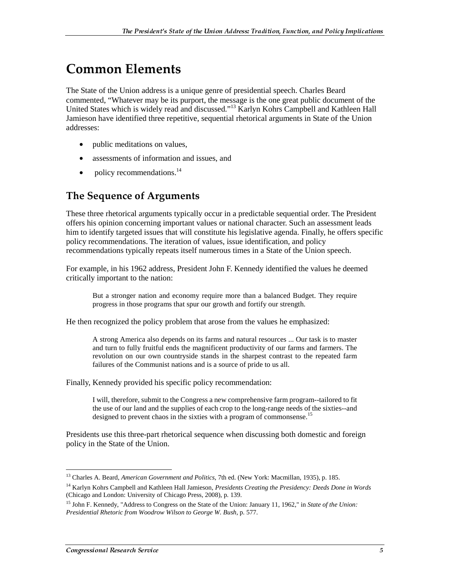## **Common Elements**

The State of the Union address is a unique genre of presidential speech. Charles Beard commented, "Whatever may be its purport, the message is the one great public document of the United States which is widely read and discussed."13 Karlyn Kohrs Campbell and Kathleen Hall Jamieson have identified three repetitive, sequential rhetorical arguments in State of the Union addresses:

- public meditations on values,
- assessments of information and issues, and
- policy recommendations.<sup>14</sup>

### The Sequence of Arguments

These three rhetorical arguments typically occur in a predictable sequential order. The President offers his opinion concerning important values or national character. Such an assessment leads him to identify targeted issues that will constitute his legislative agenda. Finally, he offers specific policy recommendations. The iteration of values, issue identification, and policy recommendations typically repeats itself numerous times in a State of the Union speech.

For example, in his 1962 address, President John F. Kennedy identified the values he deemed critically important to the nation:

But a stronger nation and economy require more than a balanced Budget. They require progress in those programs that spur our growth and fortify our strength.

He then recognized the policy problem that arose from the values he emphasized:

A strong America also depends on its farms and natural resources ... Our task is to master and turn to fully fruitful ends the magnificent productivity of our farms and farmers. The revolution on our own countryside stands in the sharpest contrast to the repeated farm failures of the Communist nations and is a source of pride to us all.

Finally, Kennedy provided his specific policy recommendation:

I will, therefore, submit to the Congress a new comprehensive farm program--tailored to fit the use of our land and the supplies of each crop to the long-range needs of the sixties--and designed to prevent chaos in the sixties with a program of commonsense.<sup>15</sup>

Presidents use this three-part rhetorical sequence when discussing both domestic and foreign policy in the State of the Union.

 $\overline{a}$ 13 Charles A. Beard, *American Government and Politics*, 7th ed. (New York: Macmillan, 1935), p. 185.

<sup>14</sup> Karlyn Kohrs Campbell and Kathleen Hall Jamieson, *Presidents Creating the Presidency: Deeds Done in Words* (Chicago and London: University of Chicago Press, 2008), p. 139.

<sup>15</sup> John F. Kennedy, "Address to Congress on the State of the Union: January 11, 1962," in *State of the Union: Presidential Rhetoric from Woodrow Wilson to George W. Bush*, p. 577.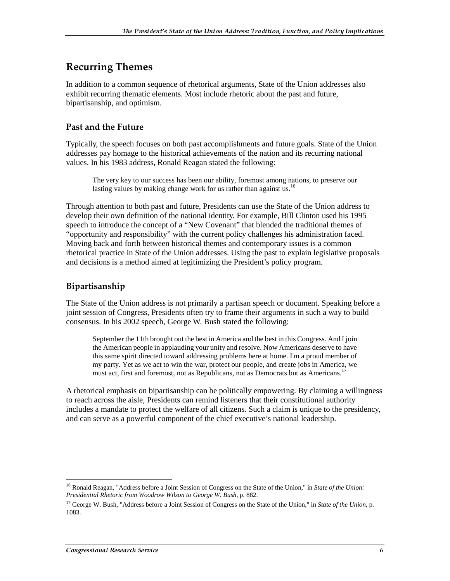### **Recurring Themes**

In addition to a common sequence of rhetorical arguments, State of the Union addresses also exhibit recurring thematic elements. Most include rhetoric about the past and future, bipartisanship, and optimism.

#### **Past and the Future**

Typically, the speech focuses on both past accomplishments and future goals. State of the Union addresses pay homage to the historical achievements of the nation and its recurring national values. In his 1983 address, Ronald Reagan stated the following:

The very key to our success has been our ability, foremost among nations, to preserve our lasting values by making change work for us rather than against us.<sup>16</sup>

Through attention to both past and future, Presidents can use the State of the Union address to develop their own definition of the national identity. For example, Bill Clinton used his 1995 speech to introduce the concept of a "New Covenant" that blended the traditional themes of "opportunity and responsibility" with the current policy challenges his administration faced. Moving back and forth between historical themes and contemporary issues is a common rhetorical practice in State of the Union addresses. Using the past to explain legislative proposals and decisions is a method aimed at legitimizing the President's policy program.

#### Bipartisanship

The State of the Union address is not primarily a partisan speech or document. Speaking before a joint session of Congress, Presidents often try to frame their arguments in such a way to build consensus. In his 2002 speech, George W. Bush stated the following:

September the 11th brought out the best in America and the best in this Congress. And I join the American people in applauding your unity and resolve. Now Americans deserve to have this same spirit directed toward addressing problems here at home. I'm a proud member of my party. Yet as we act to win the war, protect our people, and create jobs in America, we must act, first and foremost, not as Republicans, not as Democrats but as Americans.<sup>1</sup>

A rhetorical emphasis on bipartisanship can be politically empowering. By claiming a willingness to reach across the aisle, Presidents can remind listeners that their constitutional authority includes a mandate to protect the welfare of all citizens. Such a claim is unique to the presidency, and can serve as a powerful component of the chief executive's national leadership.

 $\overline{a}$ <sup>16</sup> Ronald Reagan, "Address before a Joint Session of Congress on the State of the Union," in *State of the Union*: *Presidential Rhetoric from Woodrow Wilson to George W. Bush*, p. 882.

<sup>17</sup> George W. Bush, "Address before a Joint Session of Congress on the State of the Union," in *State of the Union*, p. 1083.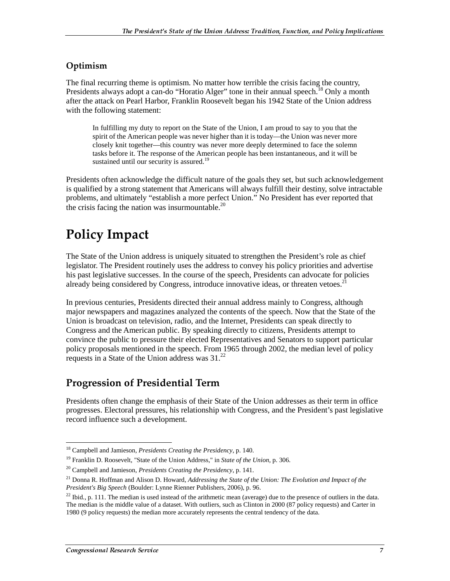#### Optimism

The final recurring theme is optimism. No matter how terrible the crisis facing the country, Presidents always adopt a can-do "Horatio Alger" tone in their annual speech.<sup>18</sup> Only a month after the attack on Pearl Harbor, Franklin Roosevelt began his 1942 State of the Union address with the following statement:

In fulfilling my duty to report on the State of the Union, I am proud to say to you that the spirit of the American people was never higher than it is today—the Union was never more closely knit together—this country was never more deeply determined to face the solemn tasks before it. The response of the American people has been instantaneous, and it will be sustained until our security is assured.<sup>19</sup>

Presidents often acknowledge the difficult nature of the goals they set, but such acknowledgement is qualified by a strong statement that Americans will always fulfill their destiny, solve intractable problems, and ultimately "establish a more perfect Union." No President has ever reported that the crisis facing the nation was insurmountable. $^{20}$ 

## **Policy Impact**

The State of the Union address is uniquely situated to strengthen the President's role as chief legislator. The President routinely uses the address to convey his policy priorities and advertise his past legislative successes. In the course of the speech, Presidents can advocate for policies already being considered by Congress, introduce innovative ideas, or threaten vetoes. $2<sup>1</sup>$ 

In previous centuries, Presidents directed their annual address mainly to Congress, although major newspapers and magazines analyzed the contents of the speech. Now that the State of the Union is broadcast on television, radio, and the Internet, Presidents can speak directly to Congress and the American public. By speaking directly to citizens, Presidents attempt to convince the public to pressure their elected Representatives and Senators to support particular policy proposals mentioned in the speech. From 1965 through 2002, the median level of policy requests in a State of the Union address was  $31.^{22}$ 

### **Progression of Presidential Term**

Presidents often change the emphasis of their State of the Union addresses as their term in office progresses. Electoral pressures, his relationship with Congress, and the President's past legislative record influence such a development.

 $\overline{a}$ 18 Campbell and Jamieson*, Presidents Creating the Presidency*, p. 140.

<sup>19</sup> Franklin D. Roosevelt, "State of the Union Address," in *State of the Union*, p. 306.

<sup>20</sup> Campbell and Jamieson, *Presidents Creating the Presidency*, p. 141.

<sup>21</sup> Donna R. Hoffman and Alison D. Howard, *Addressing the State of the Union: The Evolution and Impact of the President's Big Speech* (Boulder: Lynne Rienner Publishers, 2006), p. 96.

 $22$  Ibid., p. 111. The median is used instead of the arithmetic mean (average) due to the presence of outliers in the data. The median is the middle value of a dataset. With outliers, such as Clinton in 2000 (87 policy requests) and Carter in 1980 (9 policy requests) the median more accurately represents the central tendency of the data.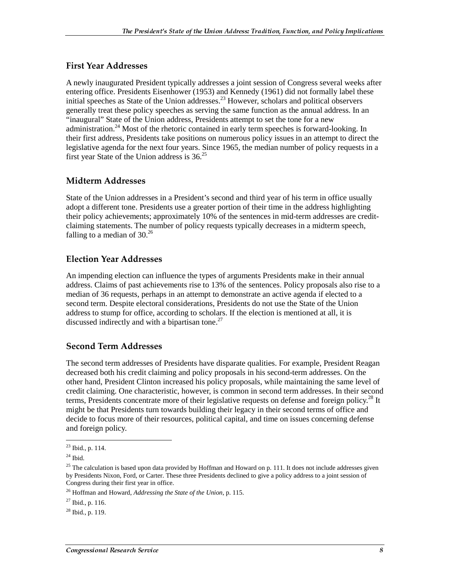#### First Year Addresses

A newly inaugurated President typically addresses a joint session of Congress several weeks after entering office. Presidents Eisenhower (1953) and Kennedy (1961) did not formally label these initial speeches as State of the Union addresses.<sup>23</sup> However, scholars and political observers generally treat these policy speeches as serving the same function as the annual address. In an "inaugural" State of the Union address, Presidents attempt to set the tone for a new administration.<sup>24</sup> Most of the rhetoric contained in early term speeches is forward-looking. In their first address, Presidents take positions on numerous policy issues in an attempt to direct the legislative agenda for the next four years. Since 1965, the median number of policy requests in a first year State of the Union address is  $36.<sup>25</sup>$ 

#### Midterm Addresses

State of the Union addresses in a President's second and third year of his term in office usually adopt a different tone. Presidents use a greater portion of their time in the address highlighting their policy achievements; approximately 10% of the sentences in mid-term addresses are creditclaiming statements. The number of policy requests typically decreases in a midterm speech, falling to a median of  $30<sup>26</sup>$ 

#### **Election Year Addresses**

An impending election can influence the types of arguments Presidents make in their annual address. Claims of past achievements rise to 13% of the sentences. Policy proposals also rise to a median of 36 requests, perhaps in an attempt to demonstrate an active agenda if elected to a second term. Despite electoral considerations, Presidents do not use the State of the Union address to stump for office, according to scholars. If the election is mentioned at all, it is discussed indirectly and with a bipartisan tone.<sup>27</sup>

#### Second Term Addresses

The second term addresses of Presidents have disparate qualities. For example, President Reagan decreased both his credit claiming and policy proposals in his second-term addresses. On the other hand, President Clinton increased his policy proposals, while maintaining the same level of credit claiming. One characteristic, however, is common in second term addresses. In their second terms, Presidents concentrate more of their legislative requests on defense and foreign policy.<sup>28</sup> It might be that Presidents turn towards building their legacy in their second terms of office and decide to focus more of their resources, political capital, and time on issues concerning defense and foreign policy.

 $\overline{a}$ <sup>23</sup> Ibid., p. 114.

 $24$  Ibid.

<sup>&</sup>lt;sup>25</sup> The calculation is based upon data provided by Hoffman and Howard on p. 111. It does not include addresses given by Presidents Nixon, Ford, or Carter. These three Presidents declined to give a policy address to a joint session of Congress during their first year in office.

<sup>26</sup> Hoffman and Howard, *Addressing the State of the Union*, p. 115.

 $^{27}$  Ibid., p. 116.

 $28$  Ibid., p. 119.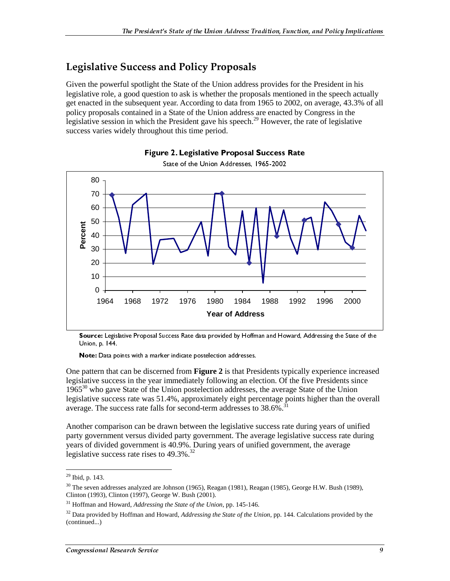### **Legislative Success and Policy Proposals**

Given the powerful spotlight the State of the Union address provides for the President in his legislative role, a good question to ask is whether the proposals mentioned in the speech actually get enacted in the subsequent year. According to data from 1965 to 2002, on average, 43.3% of all policy proposals contained in a State of the Union address are enacted by Congress in the legislative session in which the President gave his speech.<sup>29</sup> However, the rate of legislative success varies widely throughout this time period.



#### Figure 2. Legislative Proposal Success Rate State of the Union Addresses, 1965-2002

Source: Legislative Proposal Success Rate data provided by Hoffman and Howard, Addressing the State of the Union, p. 144.

Note: Data points with a marker indicate postelection addresses.

One pattern that can be discerned from **Figure 2** is that Presidents typically experience increased legislative success in the year immediately following an election. Of the five Presidents since 1965<sup>30</sup> who gave State of the Union postelection addresses, the average State of the Union legislative success rate was 51.4%, approximately eight percentage points higher than the overall average. The success rate falls for second-term addresses to  $38.6\%$ .<sup>3</sup>

Another comparison can be drawn between the legislative success rate during years of unified party government versus divided party government. The average legislative success rate during years of divided government is 40.9%. During years of unified government, the average legislative success rate rises to  $49.3\%$ .<sup>32</sup>

 $\overline{a}$ 

<sup>29</sup> Ibid, p. 143.

<sup>&</sup>lt;sup>30</sup> The seven addresses analyzed are Johnson (1965), Reagan (1981), Reagan (1985), George H.W. Bush (1989), Clinton (1993), Clinton (1997), George W. Bush (2001).

<sup>31</sup> Hoffman and Howard, *Addressing the State of the Union*, pp. 145-146.

<sup>32</sup> Data provided by Hoffman and Howard, *Addressing the State of the Union*, pp. 144. Calculations provided by the (continued...)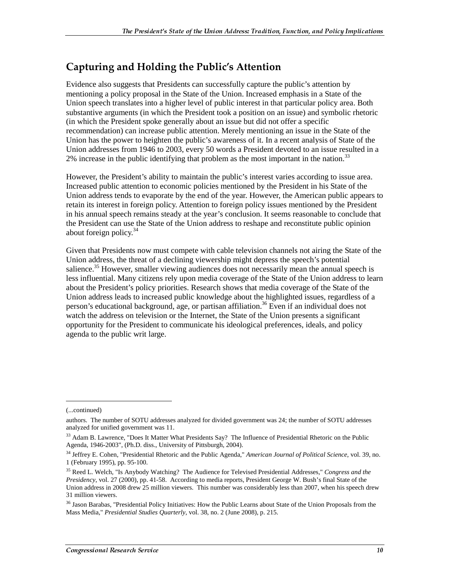## Capturing and Holding the Public's Attention

Evidence also suggests that Presidents can successfully capture the public's attention by mentioning a policy proposal in the State of the Union. Increased emphasis in a State of the Union speech translates into a higher level of public interest in that particular policy area. Both substantive arguments (in which the President took a position on an issue) and symbolic rhetoric (in which the President spoke generally about an issue but did not offer a specific recommendation) can increase public attention. Merely mentioning an issue in the State of the Union has the power to heighten the public's awareness of it. In a recent analysis of State of the Union addresses from 1946 to 2003, every 50 words a President devoted to an issue resulted in a  $2\%$  increase in the public identifying that problem as the most important in the nation.<sup>33</sup>

However, the President's ability to maintain the public's interest varies according to issue area. Increased public attention to economic policies mentioned by the President in his State of the Union address tends to evaporate by the end of the year. However, the American public appears to retain its interest in foreign policy. Attention to foreign policy issues mentioned by the President in his annual speech remains steady at the year's conclusion. It seems reasonable to conclude that the President can use the State of the Union address to reshape and reconstitute public opinion about foreign policy. $34$ 

Given that Presidents now must compete with cable television channels not airing the State of the Union address, the threat of a declining viewership might depress the speech's potential salience.<sup>35</sup> However, smaller viewing audiences does not necessarily mean the annual speech is less influential. Many citizens rely upon media coverage of the State of the Union address to learn about the President's policy priorities. Research shows that media coverage of the State of the Union address leads to increased public knowledge about the highlighted issues, regardless of a person's educational background, age, or partisan affiliation.<sup>36</sup> Even if an individual does not watch the address on television or the Internet, the State of the Union presents a significant opportunity for the President to communicate his ideological preferences, ideals, and policy agenda to the public writ large.

j

<sup>(...</sup>continued)

authors. The number of SOTU addresses analyzed for divided government was 24; the number of SOTU addresses analyzed for unified government was 11.

<sup>&</sup>lt;sup>33</sup> Adam B. Lawrence, "Does It Matter What Presidents Say? The Influence of Presidential Rhetoric on the Public Agenda, 1946-2003", (Ph.D. diss., University of Pittsburgh, 2004).

<sup>34</sup> Jeffrey E. Cohen, "Presidential Rhetoric and the Public Agenda," *American Journal of Political Science*, vol. 39, no. 1 (February 1995), pp. 95-100.

<sup>35</sup> Reed L. Welch, "Is Anybody Watching? The Audience for Televised Presidential Addresses," *Congress and the Presidency*, vol. 27 (2000), pp. 41-58. According to media reports, President George W. Bush's final State of the Union address in 2008 drew 25 million viewers. This number was considerably less than 2007, when his speech drew 31 million viewers.

<sup>&</sup>lt;sup>36</sup> Jason Barabas, "Presidential Policy Initiatives: How the Public Learns about State of the Union Proposals from the Mass Media," *Presidential Studies Quarterly*, vol. 38, no. 2 (June 2008), p. 215.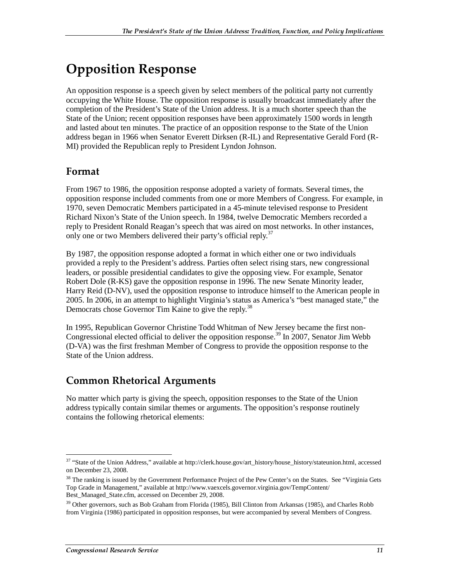## **Opposition Response**

An opposition response is a speech given by select members of the political party not currently occupying the White House. The opposition response is usually broadcast immediately after the completion of the President's State of the Union address. It is a much shorter speech than the State of the Union; recent opposition responses have been approximately 1500 words in length and lasted about ten minutes. The practice of an opposition response to the State of the Union address began in 1966 when Senator Everett Dirksen (R-IL) and Representative Gerald Ford (R-MI) provided the Republican reply to President Lyndon Johnson.

#### Format

From 1967 to 1986, the opposition response adopted a variety of formats. Several times, the opposition response included comments from one or more Members of Congress. For example, in 1970, seven Democratic Members participated in a 45-minute televised response to President Richard Nixon's State of the Union speech. In 1984, twelve Democratic Members recorded a reply to President Ronald Reagan's speech that was aired on most networks. In other instances, only one or two Members delivered their party's official reply.<sup>37</sup>

By 1987, the opposition response adopted a format in which either one or two individuals provided a reply to the President's address. Parties often select rising stars, new congressional leaders, or possible presidential candidates to give the opposing view. For example, Senator Robert Dole (R-KS) gave the opposition response in 1996. The new Senate Minority leader, Harry Reid (D-NV), used the opposition response to introduce himself to the American people in 2005. In 2006, in an attempt to highlight Virginia's status as America's "best managed state," the Democrats chose Governor Tim Kaine to give the reply.<sup>38</sup>

In 1995, Republican Governor Christine Todd Whitman of New Jersey became the first non-Congressional elected official to deliver the opposition response.<sup>39</sup> In 2007, Senator Jim Webb (D-VA) was the first freshman Member of Congress to provide the opposition response to the State of the Union address.

### **Common Rhetorical Arguments**

No matter which party is giving the speech, opposition responses to the State of the Union address typically contain similar themes or arguments. The opposition's response routinely contains the following rhetorical elements:

 $\overline{a}$ <sup>37</sup> "State of the Union Address," available at http://clerk.house.gov/art\_history/house\_history/stateunion.html, accessed on December 23, 2008.

<sup>&</sup>lt;sup>38</sup> The ranking is issued by the Government Performance Project of the Pew Center's on the States. See "Virginia Gets Top Grade in Management," available at http://www.vaexcels.governor.virginia.gov/TempContent/ Best\_Managed\_State.cfm, accessed on December 29, 2008.

<sup>&</sup>lt;sup>39</sup> Other governors, such as Bob Graham from Florida (1985), Bill Clinton from Arkansas (1985), and Charles Robb from Virginia (1986) participated in opposition responses, but were accompanied by several Members of Congress.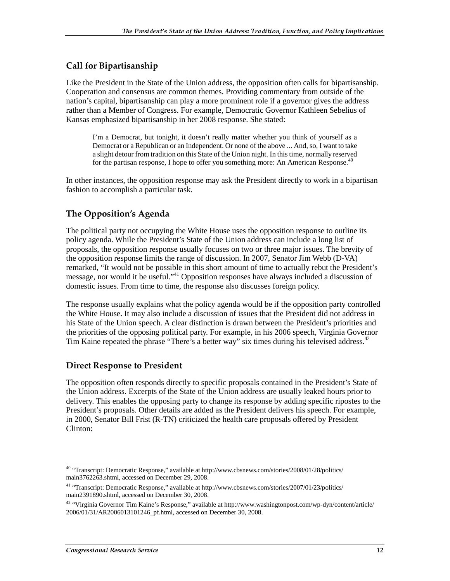#### **Call for Bipartisanship**

Like the President in the State of the Union address, the opposition often calls for bipartisanship. Cooperation and consensus are common themes. Providing commentary from outside of the nation's capital, bipartisanship can play a more prominent role if a governor gives the address rather than a Member of Congress. For example, Democratic Governor Kathleen Sebelius of Kansas emphasized bipartisanship in her 2008 response. She stated:

I'm a Democrat, but tonight, it doesn't really matter whether you think of yourself as a Democrat or a Republican or an Independent. Or none of the above ... And, so, I want to take a slight detour from tradition on this State of the Union night. In this time, normally reserved for the partisan response, I hope to offer you something more: An American Response.<sup>4</sup>

In other instances, the opposition response may ask the President directly to work in a bipartisan fashion to accomplish a particular task.

#### The Opposition's Agenda

The political party not occupying the White House uses the opposition response to outline its policy agenda. While the President's State of the Union address can include a long list of proposals, the opposition response usually focuses on two or three major issues. The brevity of the opposition response limits the range of discussion. In 2007, Senator Jim Webb (D-VA) remarked, "It would not be possible in this short amount of time to actually rebut the President's message, nor would it be useful."41 Opposition responses have always included a discussion of domestic issues. From time to time, the response also discusses foreign policy.

The response usually explains what the policy agenda would be if the opposition party controlled the White House. It may also include a discussion of issues that the President did not address in his State of the Union speech. A clear distinction is drawn between the President's priorities and the priorities of the opposing political party. For example, in his 2006 speech, Virginia Governor Tim Kaine repeated the phrase "There's a better way" six times during his televised address.<sup>42</sup>

#### Direct Response to President

The opposition often responds directly to specific proposals contained in the President's State of the Union address. Excerpts of the State of the Union address are usually leaked hours prior to delivery. This enables the opposing party to change its response by adding specific ripostes to the President's proposals. Other details are added as the President delivers his speech. For example, in 2000, Senator Bill Frist (R-TN) criticized the health care proposals offered by President Clinton:

 $\overline{a}$ <sup>40</sup> "Transcript: Democratic Response," available at http://www.cbsnews.com/stories/2008/01/28/politics/ main3762263.shtml, accessed on December 29, 2008.

<sup>41 &</sup>quot;Transcript: Democratic Response," available at http://www.cbsnews.com/stories/2007/01/23/politics/ main2391890.shtml, accessed on December 30, 2008.

<sup>&</sup>lt;sup>42</sup> "Virginia Governor Tim Kaine's Response," available at http://www.washingtonpost.com/wp-dyn/content/article/ 2006/01/31/AR2006013101246\_pf.html, accessed on December 30, 2008.